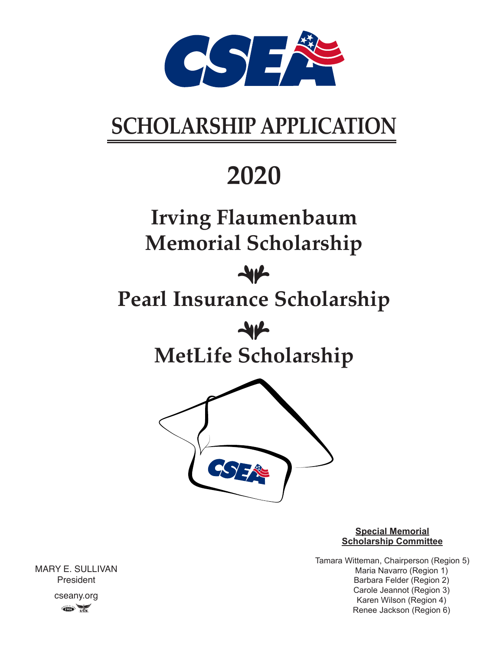

# **SCHOLARSHIP APPLICATION**

# **2020**

## **Irving Flaumenbaum Memorial Scholarship**

### $\mathcal{A}\mathcal{V}$

## **Pearl Insurance Scholarship**

 $\mathcal{H}$ **MetLife Scholarship**



#### **Special Memorial Scholarship Committee**

Tamara Witteman, Chairperson (Region 5) Maria Navarro (Region 1) Barbara Felder (Region 2) Carole Jeannot (Region 3) Karen Wilson (Region 4) Renee Jackson (Region 6)

MARY E. SULLIVAN President cseany.org  $CD$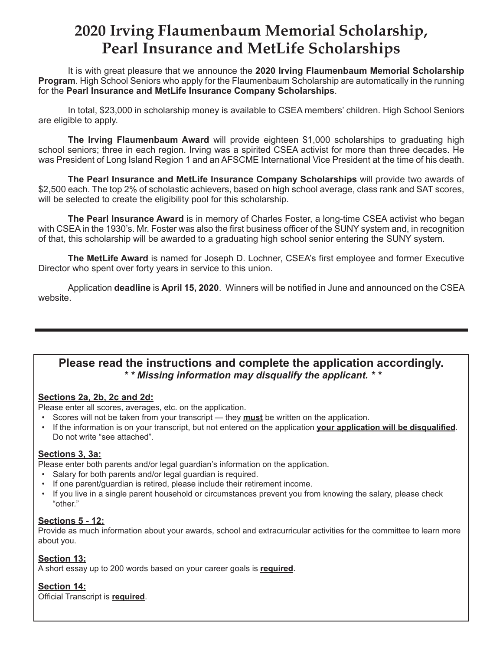### **2020 Irving Flaumenbaum Memorial Scholarship, Pearl Insurance and MetLife Scholarships**

It is with great pleasure that we announce the **2020 Irving Flaumenbaum Memorial Scholarship Program**. High School Seniors who apply for the Flaumenbaum Scholarship are automatically in the running for the **Pearl Insurance and MetLife Insurance Company Scholarships**.

In total, \$23,000 in scholarship money is available to CSEA members' children. High School Seniors are eligible to apply.

**The Irving Flaumenbaum Award** will provide eighteen \$1,000 scholarships to graduating high school seniors; three in each region. Irving was a spirited CSEA activist for more than three decades. He was President of Long Island Region 1 and an AFSCME International Vice President at the time of his death.

**The Pearl Insurance and MetLife Insurance Company Scholarships** will provide two awards of \$2,500 each. The top 2% of scholastic achievers, based on high school average, class rank and SAT scores, will be selected to create the eligibility pool for this scholarship.

**The Pearl Insurance Award** is in memory of Charles Foster, a long-time CSEA activist who began with CSEA in the 1930's. Mr. Foster was also the first business officer of the SUNY system and, in recognition of that, this scholarship will be awarded to a graduating high school senior entering the SUNY system.

**The MetLife Award** is named for Joseph D. Lochner, CSEA's first employee and former Executive Director who spent over forty years in service to this union.

Application **deadline** is **April 15, 2020**. Winners will be notified in June and announced on the CSEA website.

#### **Please read the instructions and complete the application accordingly.**  *\* \* Missing information may disqualify the applicant. \* \**

#### **Sections 2a, 2b, 2c and 2d:**

Please enter all scores, averages, etc. on the application.

- Scores will not be taken from your transcript they **must** be written on the application.
- If the information is on your transcript, but not entered on the application **your application will be disqualified**. Do not write "see attached".

#### **Sections 3, 3a:**

Please enter both parents and/or legal guardian's information on the application.

- Salary for both parents and/or legal guardian is required.
- If one parent/guardian is retired, please include their retirement income.
- If you live in a single parent household or circumstances prevent you from knowing the salary, please check "other."

#### **Sections 5 - 12:**

Provide as much information about your awards, school and extracurricular activities for the committee to learn more about you.

#### **Section 13:**

A short essay up to 200 words based on your career goals is **required**.

#### **Section 14:**

Official Transcript is **required**.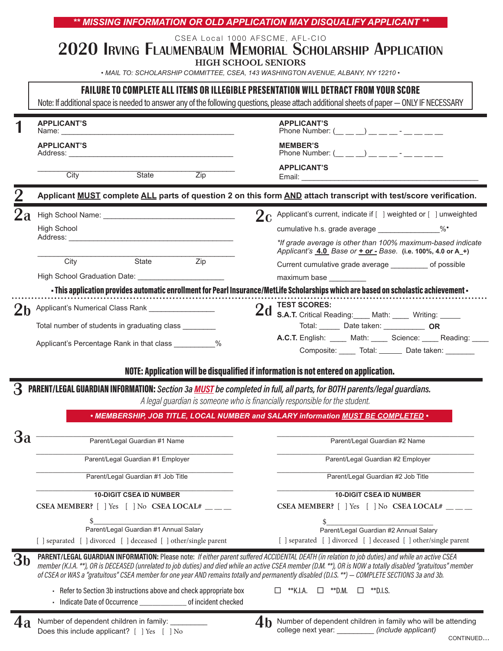| 2 <sub>h</sub> | <b>APPLICANT'S</b><br><b>APPLICANT'S</b><br>Address: ______<br>City<br>High School | State                                                                                                                                                      | Zip                 | CSEA Local 1000 AFSCME, AFL-CIO<br>2020 IRVING FLAUMENBAUM MEMORIAL SCHOLARSHIP APPLICATION<br><b>HIGH SCHOOL SENIORS</b><br>• MAIL TO: SCHOLARSHIP COMMITTEE, CSEA, 143 WASHINGTON AVENUE, ALBANY, NY 12210 •<br>FAILURE TO COMPLETE ALL ITEMS OR ILLEGIBLE PRESENTATION WILL DETRACT FROM YOUR SCORE<br>Note: If additional space is needed to answer any of the following questions, please attach additional sheets of paper - ONLY IF NECESSARY<br><b>APPLICANT'S</b><br>Phone Number: ( ) - The set of the set of the set of the set of the set of the set of the set of the set of the set of the set of the set of the set of the set of the set of the set of the set of the set of the set of the<br><b>MEMBER'S</b><br>Phone Number: $(\_ \_ \_ \_ )$ _ _ _ _ - _ _ _ _<br><b>APPLICANT'S</b><br>Email: <b>Email: Email: Email: Email: Email: Email: Example</b><br>Applicant MUST complete ALL parts of question 2 on this form AND attach transcript with test/score verification. |  |  |  |
|----------------|------------------------------------------------------------------------------------|------------------------------------------------------------------------------------------------------------------------------------------------------------|---------------------|-------------------------------------------------------------------------------------------------------------------------------------------------------------------------------------------------------------------------------------------------------------------------------------------------------------------------------------------------------------------------------------------------------------------------------------------------------------------------------------------------------------------------------------------------------------------------------------------------------------------------------------------------------------------------------------------------------------------------------------------------------------------------------------------------------------------------------------------------------------------------------------------------------------------------------------------------------------------------------------------------|--|--|--|
|                |                                                                                    |                                                                                                                                                            |                     |                                                                                                                                                                                                                                                                                                                                                                                                                                                                                                                                                                                                                                                                                                                                                                                                                                                                                                                                                                                                 |  |  |  |
|                |                                                                                    |                                                                                                                                                            |                     |                                                                                                                                                                                                                                                                                                                                                                                                                                                                                                                                                                                                                                                                                                                                                                                                                                                                                                                                                                                                 |  |  |  |
|                |                                                                                    |                                                                                                                                                            |                     |                                                                                                                                                                                                                                                                                                                                                                                                                                                                                                                                                                                                                                                                                                                                                                                                                                                                                                                                                                                                 |  |  |  |
|                |                                                                                    |                                                                                                                                                            |                     |                                                                                                                                                                                                                                                                                                                                                                                                                                                                                                                                                                                                                                                                                                                                                                                                                                                                                                                                                                                                 |  |  |  |
|                |                                                                                    |                                                                                                                                                            |                     |                                                                                                                                                                                                                                                                                                                                                                                                                                                                                                                                                                                                                                                                                                                                                                                                                                                                                                                                                                                                 |  |  |  |
|                |                                                                                    |                                                                                                                                                            |                     |                                                                                                                                                                                                                                                                                                                                                                                                                                                                                                                                                                                                                                                                                                                                                                                                                                                                                                                                                                                                 |  |  |  |
|                |                                                                                    |                                                                                                                                                            |                     |                                                                                                                                                                                                                                                                                                                                                                                                                                                                                                                                                                                                                                                                                                                                                                                                                                                                                                                                                                                                 |  |  |  |
|                |                                                                                    |                                                                                                                                                            |                     |                                                                                                                                                                                                                                                                                                                                                                                                                                                                                                                                                                                                                                                                                                                                                                                                                                                                                                                                                                                                 |  |  |  |
|                |                                                                                    |                                                                                                                                                            |                     | $2c$ Applicant's current, indicate if [ ] weighted or [ ] unweighted                                                                                                                                                                                                                                                                                                                                                                                                                                                                                                                                                                                                                                                                                                                                                                                                                                                                                                                            |  |  |  |
|                |                                                                                    |                                                                                                                                                            |                     | cumulative h.s. grade average _______________%*                                                                                                                                                                                                                                                                                                                                                                                                                                                                                                                                                                                                                                                                                                                                                                                                                                                                                                                                                 |  |  |  |
|                |                                                                                    |                                                                                                                                                            |                     | *If grade average is other than 100% maximum-based indicate<br>Applicant's 4.0 Base or + or - Base. (i.e. 100%, 4.0 or A_+)                                                                                                                                                                                                                                                                                                                                                                                                                                                                                                                                                                                                                                                                                                                                                                                                                                                                     |  |  |  |
|                | City                                                                               | State                                                                                                                                                      | Zip                 | Current cumulative grade average ____________ of possible                                                                                                                                                                                                                                                                                                                                                                                                                                                                                                                                                                                                                                                                                                                                                                                                                                                                                                                                       |  |  |  |
|                |                                                                                    |                                                                                                                                                            |                     | maximum base                                                                                                                                                                                                                                                                                                                                                                                                                                                                                                                                                                                                                                                                                                                                                                                                                                                                                                                                                                                    |  |  |  |
|                |                                                                                    | Applicant's Numerical Class Rank [1984]<br>Total number of students in graduating class ________<br>Applicant's Percentage Rank in that class ___________% |                     | - This application provides automatic enrollment for Pearl Insurance/MetLife Scholarships which are based on scholastic achievement -<br><b>TEST SCORES:</b><br>2d<br><b>S.A.T.</b> Critical Reading: Math: Writing: Writing:<br>Total: Date taken: OR<br>A.C.T. English: _____ Math: _____ Science: ____ Reading: ____                                                                                                                                                                                                                                                                                                                                                                                                                                                                                                                                                                                                                                                                         |  |  |  |
|                |                                                                                    |                                                                                                                                                            |                     | Composite: Total: Date taken:<br>NOTE: Application will be disqualified if information is not entered on application.                                                                                                                                                                                                                                                                                                                                                                                                                                                                                                                                                                                                                                                                                                                                                                                                                                                                           |  |  |  |
|                |                                                                                    |                                                                                                                                                            |                     | PARENT/LEGAL GUARDIAN INFORMATION: Section 3a MUST be completed in full, all parts, for BOTH parents/legal guardians.                                                                                                                                                                                                                                                                                                                                                                                                                                                                                                                                                                                                                                                                                                                                                                                                                                                                           |  |  |  |
|                |                                                                                    |                                                                                                                                                            |                     | A legal guardian is someone who is financially responsible for the student.                                                                                                                                                                                                                                                                                                                                                                                                                                                                                                                                                                                                                                                                                                                                                                                                                                                                                                                     |  |  |  |
|                |                                                                                    |                                                                                                                                                            |                     | • MEMBERSHIP, JOB TITLE, LOCAL NUMBER and SALARY information MUST BE COMPLETED .                                                                                                                                                                                                                                                                                                                                                                                                                                                                                                                                                                                                                                                                                                                                                                                                                                                                                                                |  |  |  |
| 3a             |                                                                                    | Parent/Legal Guardian #1 Name                                                                                                                              |                     | Parent/Legal Guardian #2 Name                                                                                                                                                                                                                                                                                                                                                                                                                                                                                                                                                                                                                                                                                                                                                                                                                                                                                                                                                                   |  |  |  |
|                |                                                                                    | Parent/Legal Guardian #1 Employer                                                                                                                          |                     | Parent/Legal Guardian #2 Employer                                                                                                                                                                                                                                                                                                                                                                                                                                                                                                                                                                                                                                                                                                                                                                                                                                                                                                                                                               |  |  |  |
|                |                                                                                    | Parent/Legal Guardian #1 Job Title                                                                                                                         |                     | Parent/Legal Guardian #2 Job Title                                                                                                                                                                                                                                                                                                                                                                                                                                                                                                                                                                                                                                                                                                                                                                                                                                                                                                                                                              |  |  |  |
|                |                                                                                    | <b>10-DIGIT CSEA ID NUMBER</b>                                                                                                                             |                     | <b>10-DIGIT CSEA ID NUMBER</b>                                                                                                                                                                                                                                                                                                                                                                                                                                                                                                                                                                                                                                                                                                                                                                                                                                                                                                                                                                  |  |  |  |
|                |                                                                                    | CSEA MEMBER? $[$ ] Yes $[$ ] No CSEA LOCAL# ___                                                                                                            |                     | CSEA MEMBER? $[$   Yes $[$   No CSEA LOCAL# __                                                                                                                                                                                                                                                                                                                                                                                                                                                                                                                                                                                                                                                                                                                                                                                                                                                                                                                                                  |  |  |  |
|                |                                                                                    | Parent/Legal Guardian #1 Annual Salary                                                                                                                     |                     | \$<br>Parent/Legal Guardian #2 Annual Salary                                                                                                                                                                                                                                                                                                                                                                                                                                                                                                                                                                                                                                                                                                                                                                                                                                                                                                                                                    |  |  |  |
|                |                                                                                    | [ ] separated [ ] divorced [ ] deceased [ ] other/single parent                                                                                            |                     | [ ] separated [ ] divorced [ ] deceased [ ] other/single parent                                                                                                                                                                                                                                                                                                                                                                                                                                                                                                                                                                                                                                                                                                                                                                                                                                                                                                                                 |  |  |  |
| Зb             |                                                                                    |                                                                                                                                                            |                     | PARENT/LEGAL GUARDIAN INFORMATION: Please note: If either parent suffered ACCIDENTAL DEATH (in relation to job duties) and while an active CSEA<br>member (K.I.A. **), OR is DECEASED (unrelated to job duties) and died while an active CSEA member (D.M. **), OR is NOW a totally disabled "gratuitous" member<br>of CSEA or WAS a "gratuitous" CSEA member for one year AND remains totally and permanently disabled (D.I.S. **) - COMPLETE SECTIONS 3a and 3b.                                                                                                                                                                                                                                                                                                                                                                                                                                                                                                                              |  |  |  |
|                |                                                                                    | - Refer to Section 3b instructions above and check appropriate box<br>· Indicate Date of Occurrence                                                        | of incident checked | **K.I.A.<br>$\Box$ **D.M.<br>$\Box$ **D.I.S.<br>□                                                                                                                                                                                                                                                                                                                                                                                                                                                                                                                                                                                                                                                                                                                                                                                                                                                                                                                                               |  |  |  |

| Does this include applicant? $[$ $]$ Yes $[$ $]$ No |  |  |  |
|-----------------------------------------------------|--|--|--|
|                                                     |  |  |  |

college next year: \_\_\_\_\_\_\_\_\_ *(include applicant)*